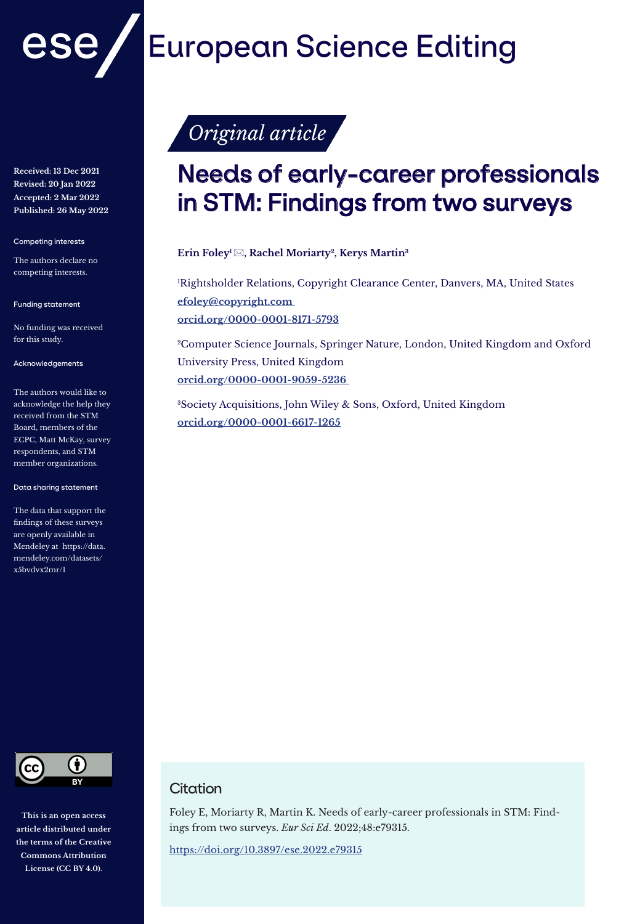

**Received: 13 Dec 2021 Revised: 20 Jan 2022 Accepted: 2 Mar 2022 Published: 26 May 2022**

Competing interests

The authors declare no competing interests.

Funding statement

No funding was received for this study.

#### Acknowledgements

The authors would like to acknowledge the help they received from the STM Board, members of the ECPC, Matt McKay, survey respondents, and STM member organizations.

#### Data sharing statement

The data that support the findings of these surveys are openly available in Mendeley at https://data. mendeley.com/datasets/ x5bvdvx2mr/1



**This is an open access article distributed under the terms of the Creative Commons Attribution License (CC BY 4.0).**

# **European Science Editing**

# Original article

# Needs of early-career professionals in STM: Findings from two surveys

**Erin Foley1 , Rachel Moriarty2, Kerys Martin3**

'Rightsholder Relations, Copyright Clearance Center, Danvers, MA, United States **efoley@copyright.com orcid.org/0000-0001-8171-5793**

2Computer Science Journals, Springer Nature, London, United Kingdom and Oxford University Press, United Kingdom **orcid.org/0000-0001-9059-5236** 

3Society Acquisitions, John Wiley & Sons, Oxford, United Kingdom **orcid.org/0000-0001-6617-1265**

# **Citation**

Foley E, Moriarty R, Martin K. Needs of early-career professionals in STM: Findings from two surveys. *Eur Sci Ed*. 2022;48:e79315.

https://doi.org/10.3897/ese.2022.e79315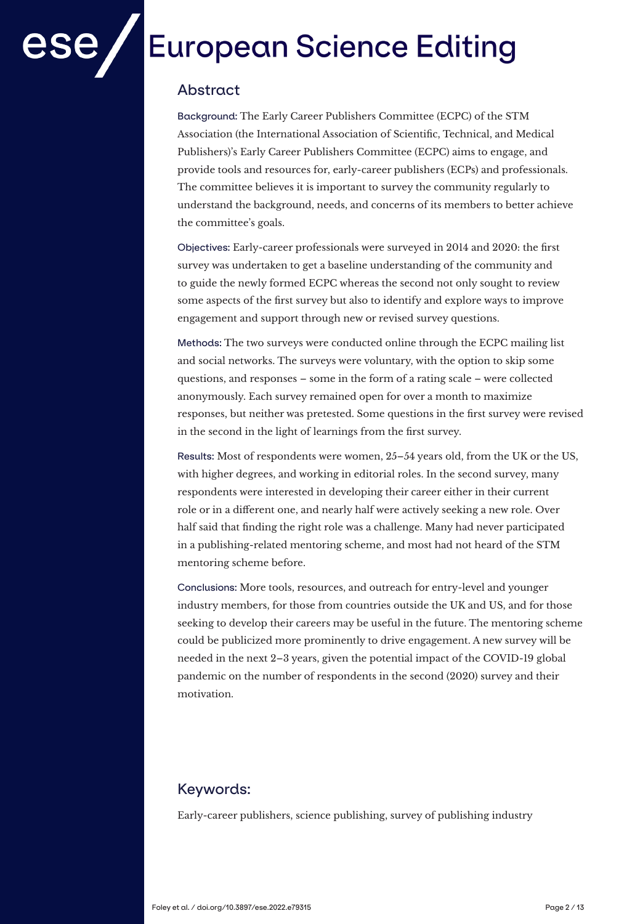# **European Science Editing**

# Abstract

Background: The Early Career Publishers Committee (ECPC) of the STM Association (the International Association of Scientific, Technical, and Medical Publishers)'s Early Career Publishers Committee (ECPC) aims to engage, and provide tools and resources for, early-career publishers (ECPs) and professionals. The committee believes it is important to survey the community regularly to understand the background, needs, and concerns of its members to better achieve the committee's goals.

Objectives: Early-career professionals were surveyed in 2014 and 2020: the first survey was undertaken to get a baseline understanding of the community and to guide the newly formed ECPC whereas the second not only sought to review some aspects of the first survey but also to identify and explore ways to improve engagement and support through new or revised survey questions.

Methods: The two surveys were conducted online through the ECPC mailing list and social networks. The surveys were voluntary, with the option to skip some questions, and responses – some in the form of a rating scale – were collected anonymously. Each survey remained open for over a month to maximize responses, but neither was pretested. Some questions in the first survey were revised in the second in the light of learnings from the first survey.

Results: Most of respondents were women, 25–54 years old, from the UK or the US, with higher degrees, and working in editorial roles. In the second survey, many respondents were interested in developing their career either in their current role or in a different one, and nearly half were actively seeking a new role. Over half said that finding the right role was a challenge. Many had never participated in a publishing-related mentoring scheme, and most had not heard of the STM mentoring scheme before.

Conclusions: More tools, resources, and outreach for entry-level and younger industry members, for those from countries outside the UK and US, and for those seeking to develop their careers may be useful in the future. The mentoring scheme could be publicized more prominently to drive engagement. A new survey will be needed in the next 2–3 years, given the potential impact of the COVID-19 global pandemic on the number of respondents in the second (2020) survey and their motivation.

# Keywords:

Early-career publishers, science publishing, survey of publishing industry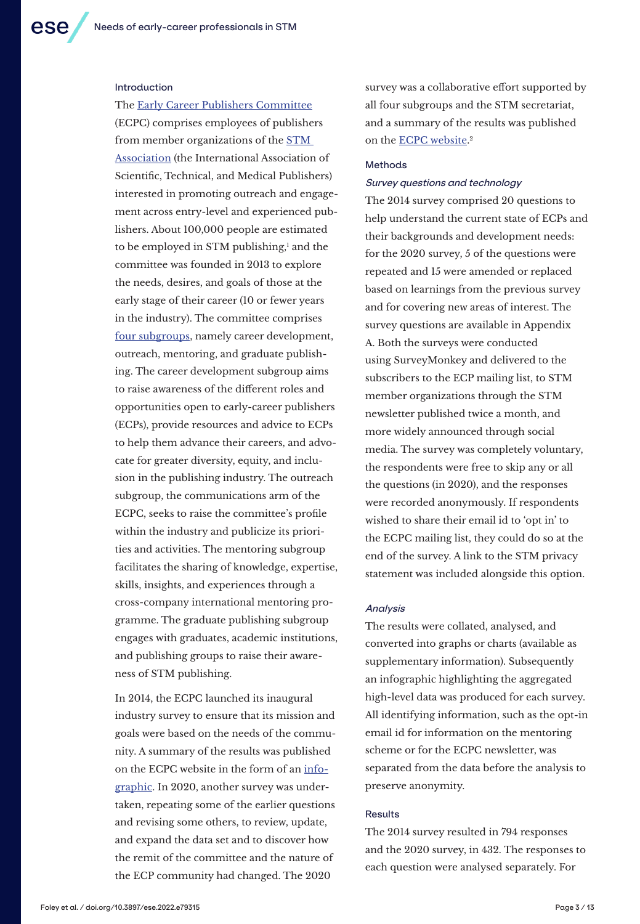The [Early Career Publishers Committee](https://www.stm-assoc.org/early-career-publishers/)

#### Introduction

(ECPC) comprises employees of publishers from member organizations of the [STM](https://www.stm-assoc.org/)  [Association](https://www.stm-assoc.org/) (the International Association of Scientific, Technical, and Medical Publishers) interested in promoting outreach and engagement across entry-level and experienced publishers. About 100,000 people are estimated to be employed in STM publishing,' and the committee was founded in 2013 to explore the needs, desires, and goals of those at the early stage of their career (10 or fewer years in the industry). The committee comprises [four subgroups](https://www.stm-assoc.org/early-career-publishers/ecpc-sub-groups/), namely career development, outreach, mentoring, and graduate publishing. The career development subgroup aims to raise awareness of the different roles and opportunities open to early-career publishers (ECPs), provide resources and advice to ECPs to help them advance their careers, and advocate for greater diversity, equity, and inclusion in the publishing industry. The outreach subgroup, the communications arm of the ECPC, seeks to raise the committee's profile within the industry and publicize its priorities and activities. The mentoring subgroup facilitates the sharing of knowledge, expertise, skills, insights, and experiences through a cross-company international mentoring programme. The graduate publishing subgroup engages with graduates, academic institutions, and publishing groups to raise their awareness of STM publishing.

In 2014, the ECPC launched its inaugural industry survey to ensure that its mission and goals were based on the needs of the community. A summary of the results was published on the ECPC website in the form of an [info](https://3spxpi1radr22mzge33bla91-wpengine.netdna-ssl.com/wp-content/uploads/2016/04/stm-ecpc-survey-results.png)[graphic.](https://3spxpi1radr22mzge33bla91-wpengine.netdna-ssl.com/wp-content/uploads/2016/04/stm-ecpc-survey-results.png) In 2020, another survey was undertaken, repeating some of the earlier questions and revising some others, to review, update, and expand the data set and to discover how the remit of the committee and the nature of the ECP community had changed. The 2020

survey was a collaborative effort supported by all four subgroups and the STM secretariat, and a summary of the results was published on the <u>[ECPC website](https://www.stm-assoc.org/early-career-publishers/industry-survey-2021/)</u>.<sup>2</sup>

#### **Methods**

#### Survey questions and technology

The 2014 survey comprised 20 questions to help understand the current state of ECPs and their backgrounds and development needs: for the 2020 survey, 5 of the questions were repeated and 15 were amended or replaced based on learnings from the previous survey and for covering new areas of interest. The survey questions are available in Appendix A. Both the surveys were conducted using SurveyMonkey and delivered to the subscribers to the ECP mailing list, to STM member organizations through the STM newsletter published twice a month, and more widely announced through social media. The survey was completely voluntary, the respondents were free to skip any or all the questions (in 2020), and the responses were recorded anonymously. If respondents wished to share their email id to 'opt in' to the ECPC mailing list, they could do so at the end of the survey. A link to the STM privacy statement was included alongside this option.

#### **Analysis**

The results were collated, analysed, and converted into graphs or charts (available as supplementary information). Subsequently an infographic highlighting the aggregated high-level data was produced for each survey. All identifying information, such as the opt-in email id for information on the mentoring scheme or for the ECPC newsletter, was separated from the data before the analysis to preserve anonymity.

#### Results

The 2014 survey resulted in 794 responses and the 2020 survey, in 432. The responses to each question were analysed separately. For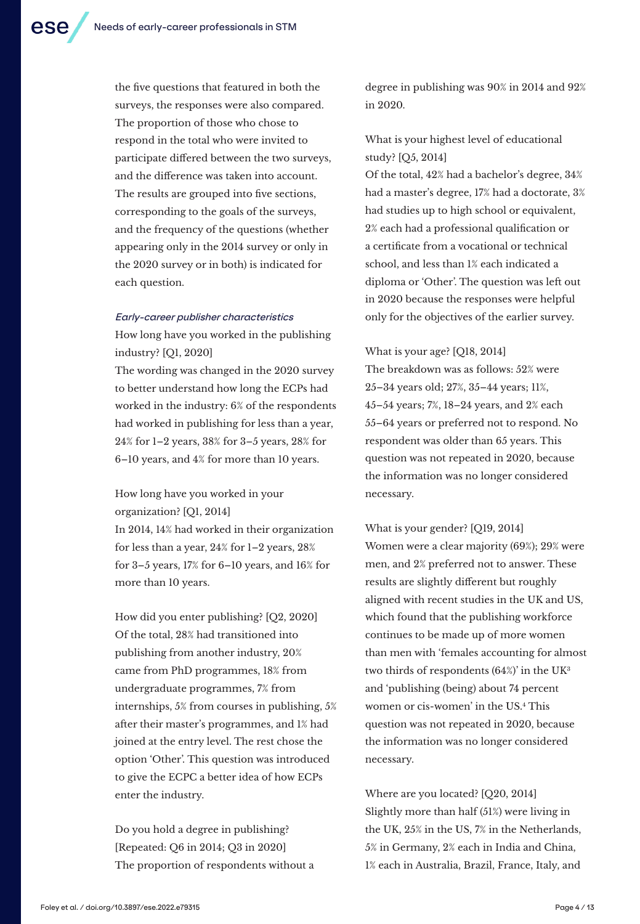the five questions that featured in both the surveys, the responses were also compared. The proportion of those who chose to respond in the total who were invited to participate differed between the two surveys, and the difference was taken into account. The results are grouped into five sections, corresponding to the goals of the surveys, and the frequency of the questions (whether appearing only in the 2014 survey or only in the 2020 survey or in both) is indicated for

#### Early-career publisher characteristics

each question.

How long have you worked in the publishing industry? [Q1, 2020]

The wording was changed in the 2020 survey to better understand how long the ECPs had worked in the industry: 6% of the respondents had worked in publishing for less than a year, 24% for 1–2 years, 38% for 3–5 years, 28% for 6–10 years, and 4% for more than 10 years.

How long have you worked in your organization? [Q1, 2014] In 2014, 14% had worked in their organization for less than a year, 24% for 1–2 years, 28% for 3–5 years, 17% for 6–10 years, and 16% for more than 10 years.

How did you enter publishing? [Q2, 2020] Of the total, 28% had transitioned into publishing from another industry, 20% came from PhD programmes, 18% from undergraduate programmes, 7% from internships, 5% from courses in publishing, 5% after their master's programmes, and 1% had joined at the entry level. The rest chose the option 'Other'. This question was introduced to give the ECPC a better idea of how ECPs enter the industry.

Do you hold a degree in publishing? [Repeated: Q6 in 2014; Q3 in 2020] The proportion of respondents without a degree in publishing was 90% in 2014 and 92% in 2020.

What is your highest level of educational study? [Q5, 2014]

Of the total, 42% had a bachelor's degree, 34% had a master's degree, 17% had a doctorate, 3% had studies up to high school or equivalent, 2% each had a professional qualification or a certificate from a vocational or technical school, and less than 1% each indicated a diploma or 'Other'. The question was left out in 2020 because the responses were helpful only for the objectives of the earlier survey.

#### What is your age? [Q18, 2014]

The breakdown was as follows: 52% were 25–34 years old; 27%, 35–44 years; 11%, 45–54 years; 7%, 18–24 years, and 2% each 55–64 years or preferred not to respond. No respondent was older than 65 years. This question was not repeated in 2020, because the information was no longer considered necessary.

What is your gender? [Q19, 2014] Women were a clear majority (69%); 29% were men, and 2% preferred not to answer. These results are slightly different but roughly aligned with recent studies in the UK and US, which found that the publishing workforce continues to be made up of more women than men with 'females accounting for almost two thirds of respondents (64%)' in the UK3 and 'publishing (being) about 74 percent women or cis-women' in the US.4 This question was not repeated in 2020, because the information was no longer considered necessary.

Where are you located? [Q20, 2014] Slightly more than half (51%) were living in the UK, 25% in the US, 7% in the Netherlands, 5% in Germany, 2% each in India and China, 1% each in Australia, Brazil, France, Italy, and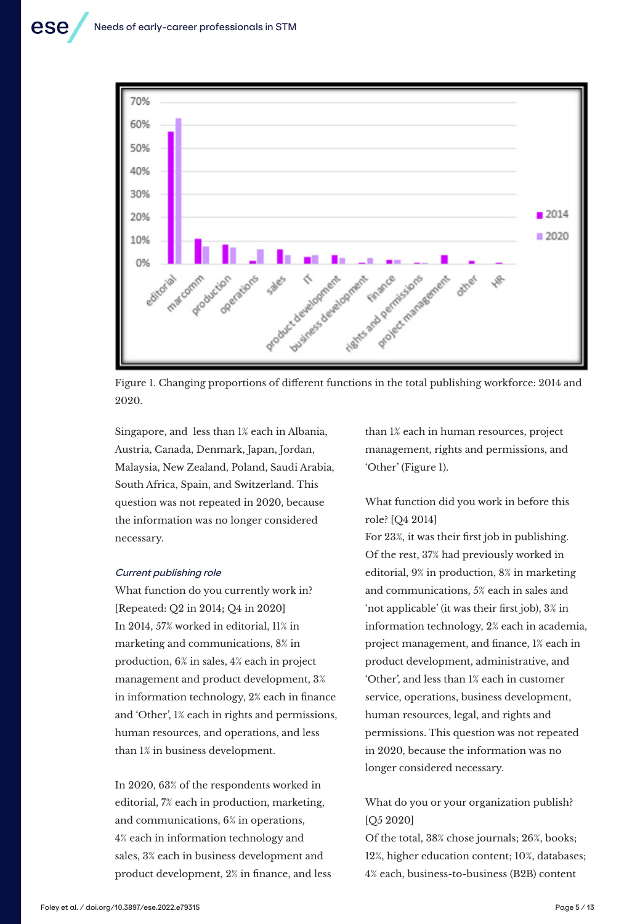

Figure 1. Changing proportions of different functions in the total publishing workforce: 2014 and 2020.

Singapore, and less than 1% each in Albania, Austria, Canada, Denmark, Japan, Jordan, Malaysia, New Zealand, Poland, Saudi Arabia, South Africa, Spain, and Switzerland. This question was not repeated in 2020, because the information was no longer considered necessary.

#### Current publishing role

What function do you currently work in? [Repeated: Q2 in 2014; Q4 in 2020] In 2014, 57% worked in editorial, 11% in marketing and communications, 8% in production, 6% in sales, 4% each in project management and product development, 3% in information technology, 2% each in finance and 'Other', 1% each in rights and permissions, human resources, and operations, and less than 1% in business development.

In 2020, 63% of the respondents worked in editorial, 7% each in production, marketing, and communications, 6% in operations, 4% each in information technology and sales, 3% each in business development and product development, 2% in finance, and less than 1% each in human resources, project management, rights and permissions, and 'Other' (Figure 1).

### What function did you work in before this role? [Q4 2014]

For 23%, it was their first job in publishing. Of the rest, 37% had previously worked in editorial, 9% in production, 8% in marketing and communications, 5% each in sales and 'not applicable' (it was their first job), 3% in information technology, 2% each in academia, project management, and finance, 1% each in product development, administrative, and 'Other', and less than 1% each in customer service, operations, business development, human resources, legal, and rights and permissions. This question was not repeated in 2020, because the information was no longer considered necessary.

### What do you or your organization publish? [O<sub>5</sub> 2020]

Of the total, 38% chose journals; 26%, books; 12%, higher education content; 10%, databases; 4% each, business-to-business (B2B) content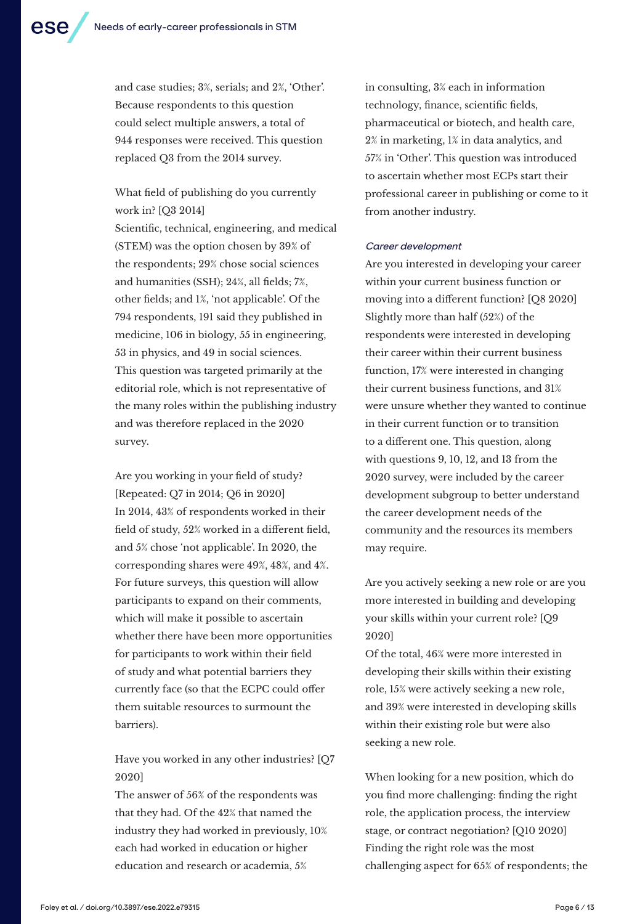and case studies; 3%, serials; and 2%, 'Other'. Because respondents to this question could select multiple answers, a total of 944 responses were received. This question replaced Q3 from the 2014 survey.

What field of publishing do you currently work in? [Q3 2014]

Scientific, technical, engineering, and medical (STEM) was the option chosen by 39% of the respondents; 29% chose social sciences and humanities (SSH); 24%, all fields; 7%, other fields; and 1%, 'not applicable'. Of the 794 respondents, 191 said they published in medicine, 106 in biology, 55 in engineering, 53 in physics, and 49 in social sciences. This question was targeted primarily at the editorial role, which is not representative of the many roles within the publishing industry and was therefore replaced in the 2020 survey.

Are you working in your field of study? [Repeated: Q7 in 2014; Q6 in 2020] In 2014, 43% of respondents worked in their field of study, 52% worked in a different field, and 5% chose 'not applicable'. In 2020, the corresponding shares were 49%, 48%, and 4%. For future surveys, this question will allow participants to expand on their comments, which will make it possible to ascertain whether there have been more opportunities for participants to work within their field of study and what potential barriers they currently face (so that the ECPC could offer them suitable resources to surmount the barriers).

Have you worked in any other industries? [Q7 2020]

The answer of 56% of the respondents was that they had. Of the 42% that named the industry they had worked in previously, 10% each had worked in education or higher education and research or academia, 5%

in consulting, 3% each in information technology, finance, scientific fields, pharmaceutical or biotech, and health care, 2% in marketing, 1% in data analytics, and 57% in 'Other'. This question was introduced to ascertain whether most ECPs start their professional career in publishing or come to it from another industry.

#### Career development

Are you interested in developing your career within your current business function or moving into a different function? [Q8 2020] Slightly more than half (52%) of the respondents were interested in developing their career within their current business function, 17% were interested in changing their current business functions, and 31% were unsure whether they wanted to continue in their current function or to transition to a different one. This question, along with questions 9, 10, 12, and 13 from the 2020 survey, were included by the career development subgroup to better understand the career development needs of the community and the resources its members may require.

Are you actively seeking a new role or are you more interested in building and developing your skills within your current role? [Q9 2020]

Of the total, 46% were more interested in developing their skills within their existing role, 15% were actively seeking a new role, and 39% were interested in developing skills within their existing role but were also seeking a new role.

When looking for a new position, which do you find more challenging: finding the right role, the application process, the interview stage, or contract negotiation? [Q10 2020] Finding the right role was the most challenging aspect for 65% of respondents; the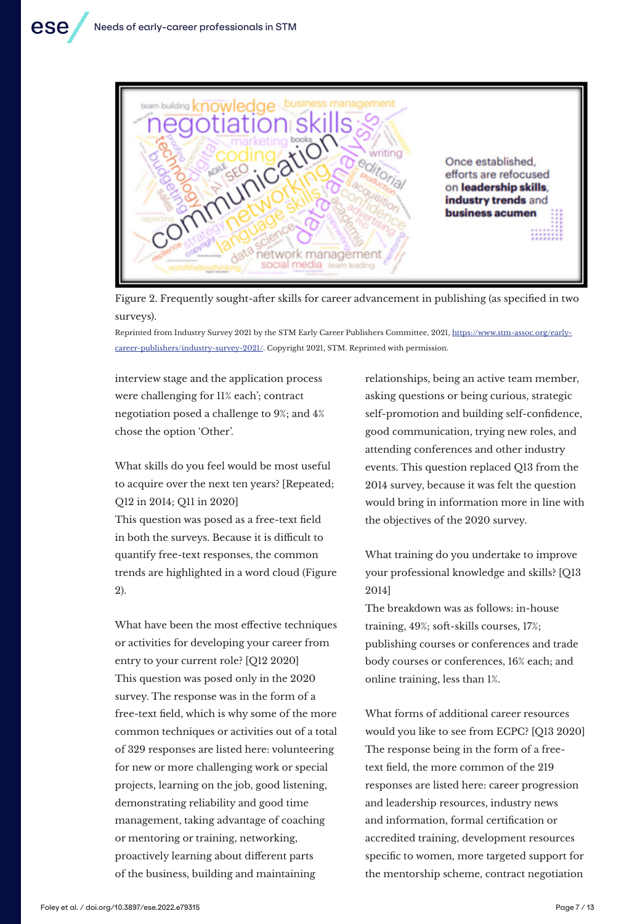

Figure 2. Frequently sought-after skills for career advancement in publishing (as specified in two surveys).

Reprinted from Industry Survey 2021 by the STM Early Career Publishers Committee, 2021, https://www.stm-assoc.org/earlycareer-publishers/industry-survey-2021/. Copyright 2021, STM. Reprinted with permission.

interview stage and the application process were challenging for 11% each'; contract negotiation posed a challenge to 9%; and 4% chose the option 'Other'.

What skills do you feel would be most useful to acquire over the next ten years? [Repeated; Q12 in 2014; Q11 in 2020] This question was posed as a free-text field in both the surveys. Because it is difficult to quantify free-text responses, the common trends are highlighted in a word cloud (Figure 2).

What have been the most effective techniques or activities for developing your career from entry to your current role? [Q12 2020] This question was posed only in the 2020 survey. The response was in the form of a free-text field, which is why some of the more common techniques or activities out of a total of 329 responses are listed here: volunteering for new or more challenging work or special projects, learning on the job, good listening, demonstrating reliability and good time management, taking advantage of coaching or mentoring or training, networking, proactively learning about different parts of the business, building and maintaining

relationships, being an active team member, asking questions or being curious, strategic self-promotion and building self-confidence, good communication, trying new roles, and attending conferences and other industry events. This question replaced Q13 from the 2014 survey, because it was felt the question would bring in information more in line with the objectives of the 2020 survey.

What training do you undertake to improve your professional knowledge and skills? [Q13 2014]

The breakdown was as follows: in-house training, 49%; soft-skills courses, 17%; publishing courses or conferences and trade body courses or conferences, 16% each; and online training, less than 1%.

What forms of additional career resources would you like to see from ECPC? [Q13 2020] The response being in the form of a freetext field, the more common of the 219 responses are listed here: career progression and leadership resources, industry news and information, formal certification or accredited training, development resources specific to women, more targeted support for the mentorship scheme, contract negotiation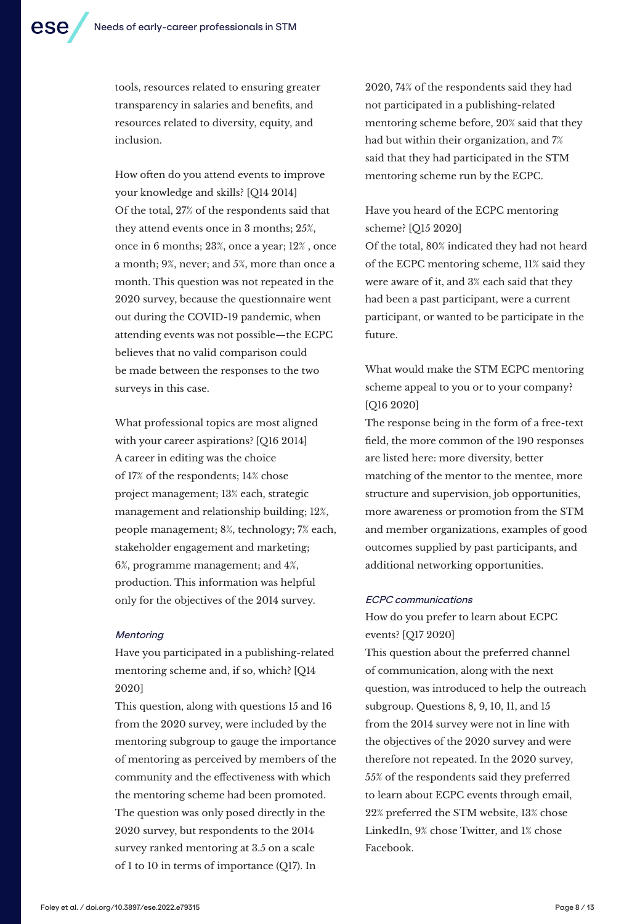tools, resources related to ensuring greater transparency in salaries and benefits, and resources related to diversity, equity, and inclusion.

How often do you attend events to improve your knowledge and skills? [Q14 2014] Of the total, 27% of the respondents said that they attend events once in 3 months; 25%, once in 6 months; 23%, once a year; 12% , once a month; 9%, never; and 5%, more than once a month. This question was not repeated in the 2020 survey, because the questionnaire went out during the COVID-19 pandemic, when attending events was not possible—the ECPC believes that no valid comparison could be made between the responses to the two surveys in this case.

What professional topics are most aligned with your career aspirations? [Q16 2014] A career in editing was the choice of 17% of the respondents; 14% chose project management; 13% each, strategic management and relationship building; 12%, people management; 8%, technology; 7% each, stakeholder engagement and marketing; 6%, programme management; and 4%, production. This information was helpful only for the objectives of the 2014 survey.

#### **Mentoring**

Have you participated in a publishing-related mentoring scheme and, if so, which? [Q14 2020]

This question, along with questions 15 and 16 from the 2020 survey, were included by the mentoring subgroup to gauge the importance of mentoring as perceived by members of the community and the effectiveness with which the mentoring scheme had been promoted. The question was only posed directly in the 2020 survey, but respondents to the 2014 survey ranked mentoring at 3.5 on a scale of 1 to 10 in terms of importance (Q17). In

2020, 74% of the respondents said they had not participated in a publishing-related mentoring scheme before, 20% said that they had but within their organization, and 7% said that they had participated in the STM mentoring scheme run by the ECPC.

## Have you heard of the ECPC mentoring scheme? [Q15 2020]

Of the total, 80% indicated they had not heard of the ECPC mentoring scheme, 11% said they were aware of it, and 3% each said that they had been a past participant, were a current participant, or wanted to be participate in the future.

What would make the STM ECPC mentoring scheme appeal to you or to your company? [Q16 2020]

The response being in the form of a free-text field, the more common of the 190 responses are listed here: more diversity, better matching of the mentor to the mentee, more structure and supervision, job opportunities, more awareness or promotion from the STM and member organizations, examples of good outcomes supplied by past participants, and additional networking opportunities.

#### ECPC communications

How do you prefer to learn about ECPC events? [Q17 2020]

This question about the preferred channel of communication, along with the next question, was introduced to help the outreach subgroup. Questions 8, 9, 10, 11, and 15 from the 2014 survey were not in line with the objectives of the 2020 survey and were therefore not repeated. In the 2020 survey, 55% of the respondents said they preferred to learn about ECPC events through email, 22% preferred the STM website, 13% chose LinkedIn, 9% chose Twitter, and 1% chose Facebook.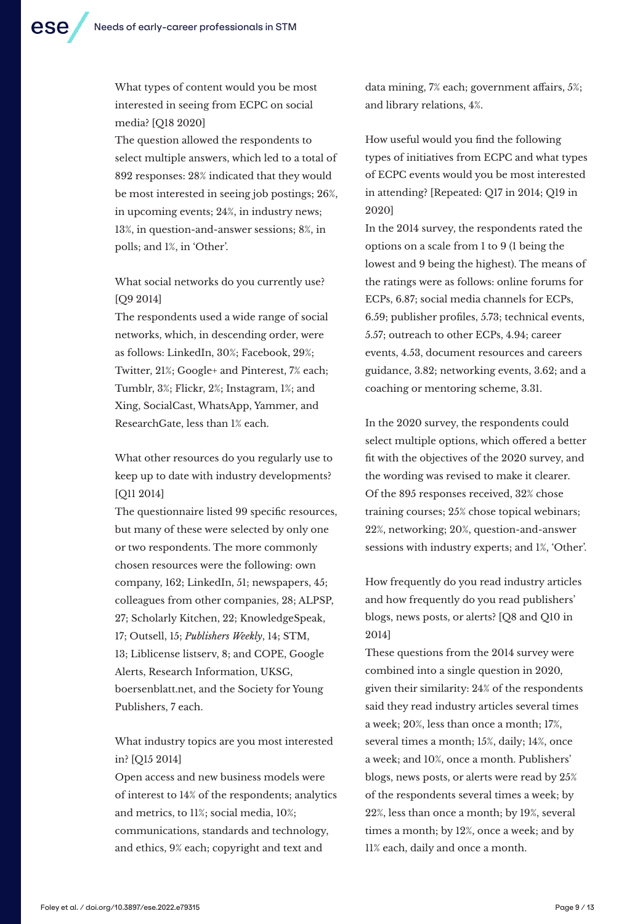What types of content would you be most interested in seeing from ECPC on social media? [Q18 2020]

The question allowed the respondents to select multiple answers, which led to a total of 892 responses: 28% indicated that they would be most interested in seeing job postings; 26%, in upcoming events; 24%, in industry news; 13%, in question-and-answer sessions; 8%, in polls; and 1%, in 'Other'.

## What social networks do you currently use? [Q9 2014]

The respondents used a wide range of social networks, which, in descending order, were as follows: LinkedIn, 30%; Facebook, 29%; Twitter, 21%; Google+ and Pinterest, 7% each; Tumblr, 3%; Flickr, 2%; Instagram, 1%; and Xing, SocialCast, WhatsApp, Yammer, and ResearchGate, less than 1% each.

What other resources do you regularly use to keep up to date with industry developments? [Q11 2014]

The questionnaire listed 99 specific resources, but many of these were selected by only one or two respondents. The more commonly chosen resources were the following: own company, 162; LinkedIn, 51; newspapers, 45; colleagues from other companies, 28; ALPSP, 27; Scholarly Kitchen, 22; KnowledgeSpeak, 17; Outsell, 15; *Publishers Weekly*, 14; STM, 13; Liblicense listserv, 8; and COPE, Google Alerts, Research Information, UKSG, boersenblatt.net, and the Society for Young Publishers, 7 each.

## What industry topics are you most interested in? [Q15 2014]

Open access and new business models were of interest to 14% of the respondents; analytics and metrics, to 11%; social media, 10%; communications, standards and technology, and ethics, 9% each; copyright and text and

data mining, 7% each; government affairs, 5%; and library relations, 4%.

How useful would you find the following types of initiatives from ECPC and what types of ECPC events would you be most interested in attending? [Repeated: Q17 in 2014; Q19 in 2020]

In the 2014 survey, the respondents rated the options on a scale from 1 to 9 (1 being the lowest and 9 being the highest). The means of the ratings were as follows: online forums for ECPs, 6.87; social media channels for ECPs, 6.59; publisher profiles, 5.73; technical events, 5.57; outreach to other ECPs, 4.94; career events, 4.53, document resources and careers guidance, 3.82; networking events, 3.62; and a coaching or mentoring scheme, 3.31.

In the 2020 survey, the respondents could select multiple options, which offered a better fit with the objectives of the 2020 survey, and the wording was revised to make it clearer. Of the 895 responses received, 32% chose training courses; 25% chose topical webinars; 22%, networking; 20%, question-and-answer sessions with industry experts; and 1%, 'Other'.

How frequently do you read industry articles and how frequently do you read publishers' blogs, news posts, or alerts? [Q8 and Q10 in 2014]

These questions from the 2014 survey were combined into a single question in 2020, given their similarity: 24% of the respondents said they read industry articles several times a week; 20%, less than once a month; 17%, several times a month; 15%, daily; 14%, once a week; and 10%, once a month. Publishers' blogs, news posts, or alerts were read by 25% of the respondents several times a week; by 22%, less than once a month; by 19%, several times a month; by 12%, once a week; and by 11% each, daily and once a month.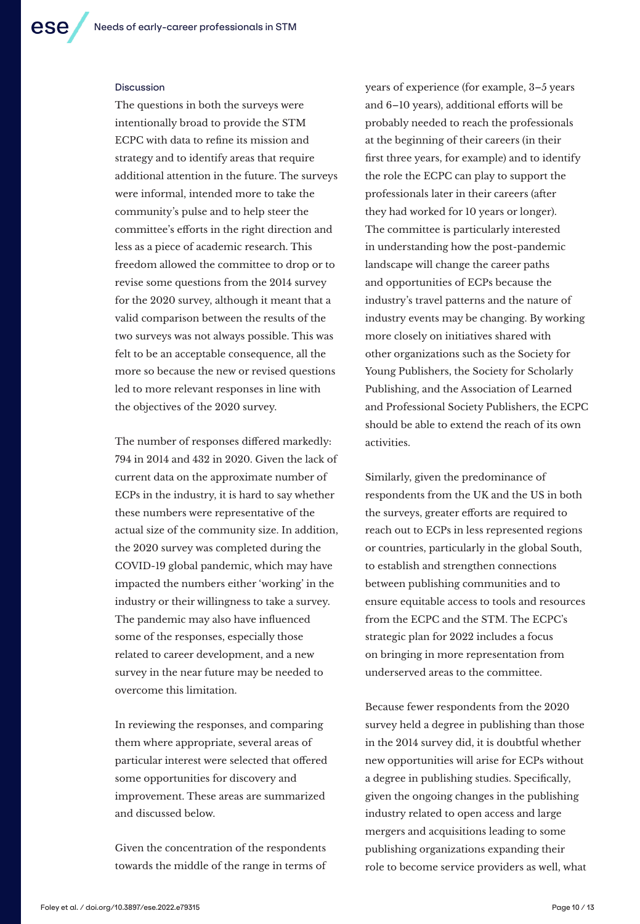#### **Discussion**

The questions in both the surveys were intentionally broad to provide the STM ECPC with data to refine its mission and strategy and to identify areas that require additional attention in the future. The surveys were informal, intended more to take the community's pulse and to help steer the committee's efforts in the right direction and less as a piece of academic research. This freedom allowed the committee to drop or to revise some questions from the 2014 survey for the 2020 survey, although it meant that a valid comparison between the results of the two surveys was not always possible. This was felt to be an acceptable consequence, all the more so because the new or revised questions led to more relevant responses in line with the objectives of the 2020 survey.

The number of responses differed markedly: 794 in 2014 and 432 in 2020. Given the lack of current data on the approximate number of ECPs in the industry, it is hard to say whether these numbers were representative of the actual size of the community size. In addition, the 2020 survey was completed during the COVID-19 global pandemic, which may have impacted the numbers either 'working' in the industry or their willingness to take a survey. The pandemic may also have influenced some of the responses, especially those related to career development, and a new survey in the near future may be needed to overcome this limitation.

In reviewing the responses, and comparing them where appropriate, several areas of particular interest were selected that offered some opportunities for discovery and improvement. These areas are summarized and discussed below.

Given the concentration of the respondents towards the middle of the range in terms of years of experience (for example, 3–5 years and 6–10 years), additional efforts will be probably needed to reach the professionals at the beginning of their careers (in their first three years, for example) and to identify the role the ECPC can play to support the professionals later in their careers (after they had worked for 10 years or longer). The committee is particularly interested in understanding how the post-pandemic landscape will change the career paths and opportunities of ECPs because the industry's travel patterns and the nature of industry events may be changing. By working more closely on initiatives shared with other organizations such as the Society for Young Publishers, the Society for Scholarly Publishing, and the Association of Learned and Professional Society Publishers, the ECPC should be able to extend the reach of its own activities.

Similarly, given the predominance of respondents from the UK and the US in both the surveys, greater efforts are required to reach out to ECPs in less represented regions or countries, particularly in the global South, to establish and strengthen connections between publishing communities and to ensure equitable access to tools and resources from the ECPC and the STM. The ECPC's strategic plan for 2022 includes a focus on bringing in more representation from underserved areas to the committee.

Because fewer respondents from the 2020 survey held a degree in publishing than those in the 2014 survey did, it is doubtful whether new opportunities will arise for ECPs without a degree in publishing studies. Specifically, given the ongoing changes in the publishing industry related to open access and large mergers and acquisitions leading to some publishing organizations expanding their role to become service providers as well, what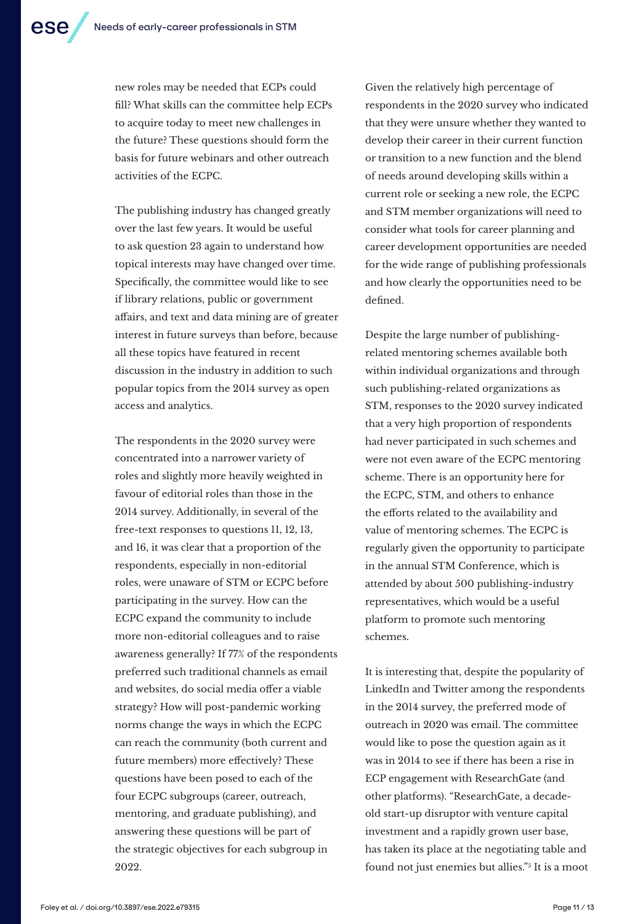new roles may be needed that ECPs could fill? What skills can the committee help ECPs to acquire today to meet new challenges in the future? These questions should form the basis for future webinars and other outreach activities of the ECPC.

The publishing industry has changed greatly over the last few years. It would be useful to ask question 23 again to understand how topical interests may have changed over time. Specifically, the committee would like to see if library relations, public or government affairs, and text and data mining are of greater interest in future surveys than before, because all these topics have featured in recent discussion in the industry in addition to such popular topics from the 2014 survey as open access and analytics.

The respondents in the 2020 survey were concentrated into a narrower variety of roles and slightly more heavily weighted in favour of editorial roles than those in the 2014 survey. Additionally, in several of the free-text responses to questions 11, 12, 13, and 16, it was clear that a proportion of the respondents, especially in non-editorial roles, were unaware of STM or ECPC before participating in the survey. How can the ECPC expand the community to include more non-editorial colleagues and to raise awareness generally? If 77% of the respondents preferred such traditional channels as email and websites, do social media offer a viable strategy? How will post-pandemic working norms change the ways in which the ECPC can reach the community (both current and future members) more effectively? These questions have been posed to each of the four ECPC subgroups (career, outreach, mentoring, and graduate publishing), and answering these questions will be part of the strategic objectives for each subgroup in 2022.

Given the relatively high percentage of respondents in the 2020 survey who indicated that they were unsure whether they wanted to develop their career in their current function or transition to a new function and the blend of needs around developing skills within a current role or seeking a new role, the ECPC and STM member organizations will need to consider what tools for career planning and career development opportunities are needed for the wide range of publishing professionals and how clearly the opportunities need to be defined.

Despite the large number of publishingrelated mentoring schemes available both within individual organizations and through such publishing-related organizations as STM, responses to the 2020 survey indicated that a very high proportion of respondents had never participated in such schemes and were not even aware of the ECPC mentoring scheme. There is an opportunity here for the ECPC, STM, and others to enhance the efforts related to the availability and value of mentoring schemes. The ECPC is regularly given the opportunity to participate in the annual STM Conference, which is attended by about 500 publishing-industry representatives, which would be a useful platform to promote such mentoring schemes.

It is interesting that, despite the popularity of LinkedIn and Twitter among the respondents in the 2014 survey, the preferred mode of outreach in 2020 was email. The committee would like to pose the question again as it was in 2014 to see if there has been a rise in ECP engagement with ResearchGate (and other platforms). "ResearchGate, a decadeold start-up disruptor with venture capital investment and a rapidly grown user base, has taken its place at the negotiating table and found not just enemies but allies."5 It is a moot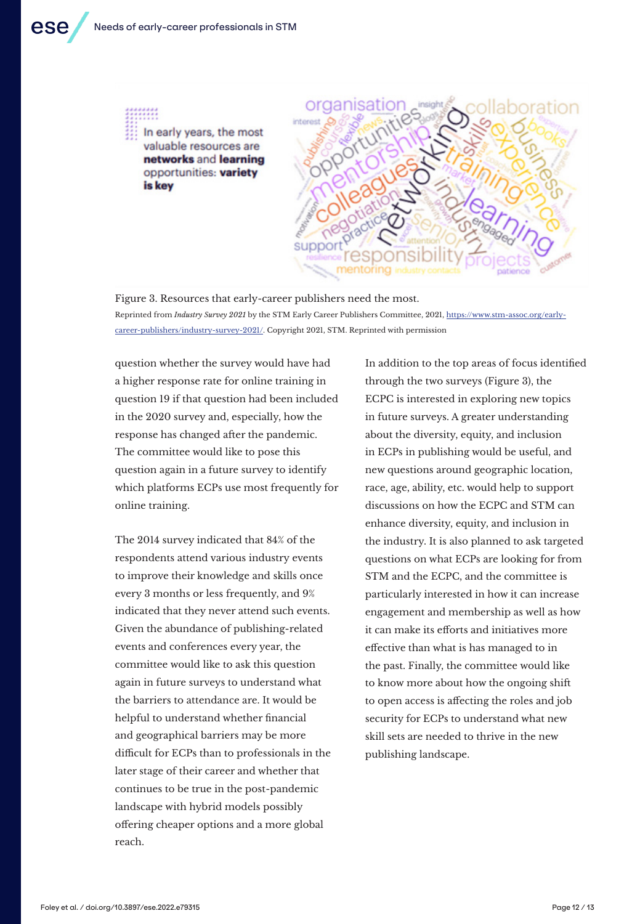

Figure 3. Resources that early-career publishers need the most. Reprinted from *Industry Survey 2021* by the STM Early Career Publishers Committee, 2021, https://www.stm-assoc.org/earlycareer-publishers/industry-survey-2021/. Copyright 2021, STM. Reprinted with permission

question whether the survey would have had a higher response rate for online training in question 19 if that question had been included in the 2020 survey and, especially, how the response has changed after the pandemic. The committee would like to pose this question again in a future survey to identify which platforms ECPs use most frequently for online training.

The 2014 survey indicated that 84% of the respondents attend various industry events to improve their knowledge and skills once every 3 months or less frequently, and 9% indicated that they never attend such events. Given the abundance of publishing-related events and conferences every year, the committee would like to ask this question again in future surveys to understand what the barriers to attendance are. It would be helpful to understand whether financial and geographical barriers may be more difficult for ECPs than to professionals in the later stage of their career and whether that continues to be true in the post-pandemic landscape with hybrid models possibly offering cheaper options and a more global reach.

In addition to the top areas of focus identified through the two surveys (Figure 3), the ECPC is interested in exploring new topics in future surveys. A greater understanding about the diversity, equity, and inclusion in ECPs in publishing would be useful, and new questions around geographic location, race, age, ability, etc. would help to support discussions on how the ECPC and STM can enhance diversity, equity, and inclusion in the industry. It is also planned to ask targeted questions on what ECPs are looking for from STM and the ECPC, and the committee is particularly interested in how it can increase engagement and membership as well as how it can make its efforts and initiatives more effective than what is has managed to in the past. Finally, the committee would like to know more about how the ongoing shift to open access is affecting the roles and job security for ECPs to understand what new skill sets are needed to thrive in the new publishing landscape.